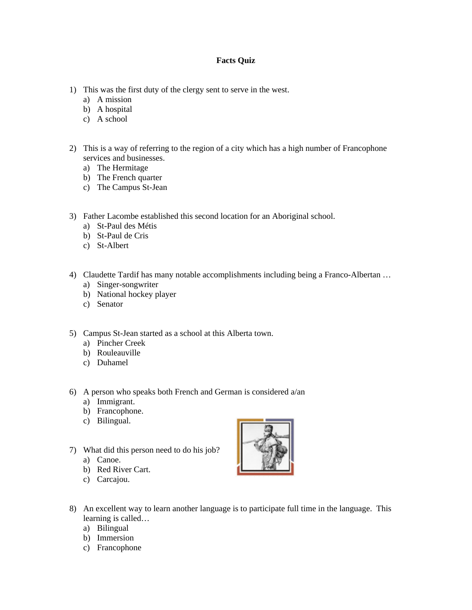## **Facts Quiz**

- 1) This was the first duty of the clergy sent to serve in the west.
	- a) A mission
	- b) A hospital
	- c) A school
- 2) This is a way of referring to the region of a city which has a high number of Francophone services and businesses.
	- a) The Hermitage
	- b) The French quarter
	- c) The Campus St-Jean
- 3) Father Lacombe established this second location for an Aboriginal school.
	- a) St-Paul des Métis
	- b) St-Paul de Cris
	- c) St-Albert
- 4) Claudette Tardif has many notable accomplishments including being a Franco-Albertan …
	- a) Singer-songwriter
	- b) National hockey player
	- c) Senator
- 5) Campus St-Jean started as a school at this Alberta town.
	- a) Pincher Creek
	- b) Rouleauville
	- c) Duhamel
- 6) A person who speaks both French and German is considered a/an
	- a) Immigrant.
	- b) Francophone.
	- c) Bilingual.
- 7) What did this person need to do his job?
	- a) Canoe.
	- b) Red River Cart.
	- c) Carcajou.



- 8) An excellent way to learn another language is to participate full time in the language. This learning is called…
	- a) Bilingual
	- b) Immersion
	- c) Francophone